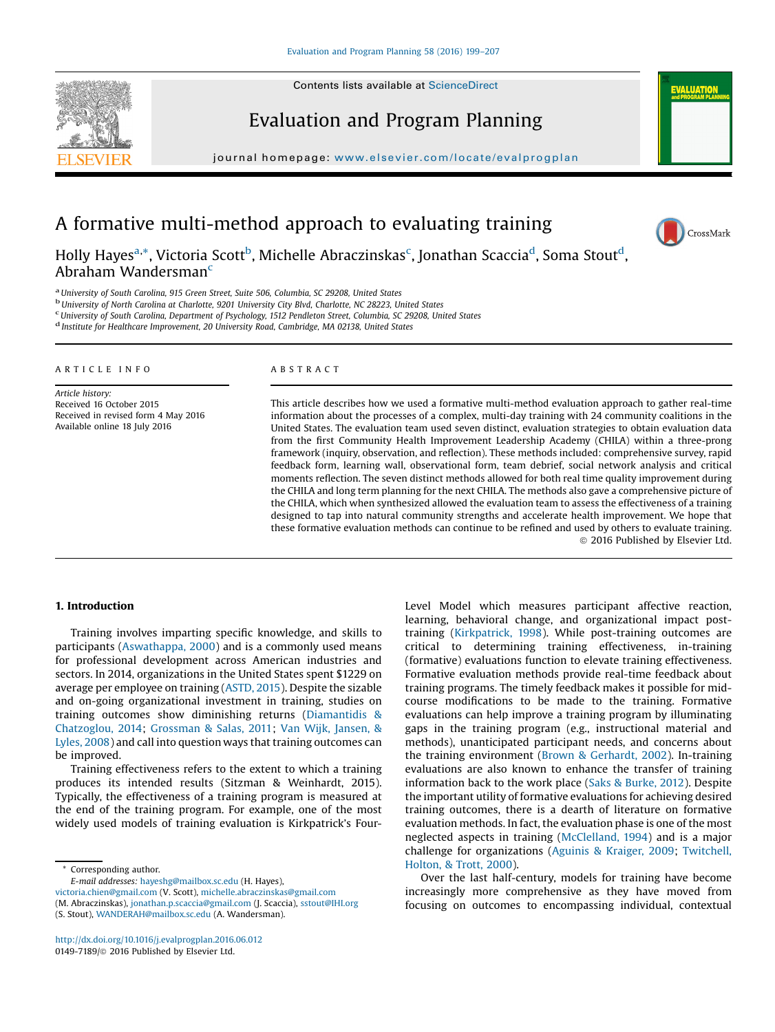

Evaluation and Program Planning

journal homepage: <www.elsevier.com/locate/evalprogplan>

# A formative multi-method approach to evaluating training



Holly Hayes<sup>a,\*</sup>, Victoria Scott<sup>b</sup>, Michelle Abraczinskas<sup>c</sup>, Jonathan Scaccia<sup>d</sup>, Soma Stout<sup>d</sup>, Abraham Wandersmanc

a University of South Carolina, 915 Green Street, Suite 506, Columbia, SC 29208, United States bUniversity of North Carolina at Charlotte, 9201 University City Blvd, Charlotte, NC 28223, United States chiversity of South

<sup>d</sup> Institute for Healthcare Improvement, 20 University Road, Cambridge, MA 02138, United States

| ARTICLE INFO                                                                                                         | ABSTRACT                                                                                                                                                                                                                                                                                                                                                                                                                                                                                                                                                                                                                                                                                                                                                                                                                                                                                                                                                                                                                                                                                                                                                                         |  |  |
|----------------------------------------------------------------------------------------------------------------------|----------------------------------------------------------------------------------------------------------------------------------------------------------------------------------------------------------------------------------------------------------------------------------------------------------------------------------------------------------------------------------------------------------------------------------------------------------------------------------------------------------------------------------------------------------------------------------------------------------------------------------------------------------------------------------------------------------------------------------------------------------------------------------------------------------------------------------------------------------------------------------------------------------------------------------------------------------------------------------------------------------------------------------------------------------------------------------------------------------------------------------------------------------------------------------|--|--|
| Article history:<br>Received 16 October 2015<br>Received in revised form 4 May 2016<br>Available online 18 July 2016 | This article describes how we used a formative multi-method evaluation approach to gather real-time<br>information about the processes of a complex, multi-day training with 24 community coalitions in the<br>United States. The evaluation team used seven distinct, evaluation strategies to obtain evaluation data<br>from the first Community Health Improvement Leadership Academy (CHILA) within a three-prong<br>framework (inquiry, observation, and reflection). These methods included: comprehensive survey, rapid<br>feedback form, learning wall, observational form, team debrief, social network analysis and critical<br>moments reflection. The seven distinct methods allowed for both real time quality improvement during<br>the CHILA and long term planning for the next CHILA. The methods also gave a comprehensive picture of<br>the CHILA, which when synthesized allowed the evaluation team to assess the effectiveness of a training<br>designed to tap into natural community strengths and accelerate health improvement. We hope that<br>these formative evaluation methods can continue to be refined and used by others to evaluate training. |  |  |

ã 2016 Published by Elsevier Ltd.

# 1. Introduction

Training involves imparting specific knowledge, and skills to participants [\(Aswathappa,](#page-7-0) 2000) and is a commonly used means for professional development across American industries and sectors. In 2014, organizations in the United States spent \$1229 on average per employee on training [\(ASTD,](#page-7-0) 2015). Despite the sizable and on-going organizational investment in training, studies on training outcomes show diminishing returns ([Diamantidis](#page-7-0) & [Chatzoglou,](#page-7-0) 2014; [Grossman](#page-7-0) & Salas, 2011; Van Wijk, [Jansen,](#page-8-0) & [Lyles,](#page-8-0) 2008) and call into question ways that training outcomes can be improved.

Training effectiveness refers to the extent to which a training produces its intended results (Sitzman & Weinhardt, 2015). Typically, the effectiveness of a training program is measured at the end of the training program. For example, one of the most widely used models of training evaluation is Kirkpatrick's Four-

Corresponding author.

E-mail addresses: [hayeshg@mailbox.sc.edu](mailto:hayeshg@mailbox.sc.edu) (H. Hayes),

[victoria.chien@gmail.com](mailto:victoria.chien@gmail.com) (V. Scott), [michelle.abraczinskas@gmail.com](mailto:michelle.abraczinskas@gmail.com) (M. Abraczinskas), [jonathan.p.scaccia@gmail.com](mailto:jonathan.p.scaccia@gmail.com) (J. Scaccia), [sstout@IHI.org](mailto:sstout@IHI.org) (S. Stout), [WANDERAH@mailbox.sc.edu](mailto:WANDERAH@mailbox.sc.edu) (A. Wandersman).

Level Model which measures participant affective reaction, learning, behavioral change, and organizational impact posttraining [\(Kirkpatrick,](#page-8-0) 1998). While post-training outcomes are critical to determining training effectiveness, in-training (formative) evaluations function to elevate training effectiveness. Formative evaluation methods provide real-time feedback about training programs. The timely feedback makes it possible for midcourse modifications to be made to the training. Formative evaluations can help improve a training program by illuminating gaps in the training program (e.g., instructional material and methods), unanticipated participant needs, and concerns about the training environment (Brown & [Gerhardt,](#page-7-0) 2002). In-training evaluations are also known to enhance the transfer of training information back to the work place (Saks & [Burke,](#page-8-0) 2012). Despite the important utility of formative evaluations for achieving desired training outcomes, there is a dearth of literature on formative evaluation methods. In fact, the evaluation phase is one of the most neglected aspects in training ([McClelland,](#page-8-0) 1994) and is a major challenge for organizations (Aguinis & [Kraiger,](#page-7-0) 2009; [Twitchell,](#page-8-0) [Holton,](#page-8-0) & Trott, 2000).

Over the last half-century, models for training have become increasingly more comprehensive as they have moved from focusing on outcomes to encompassing individual, contextual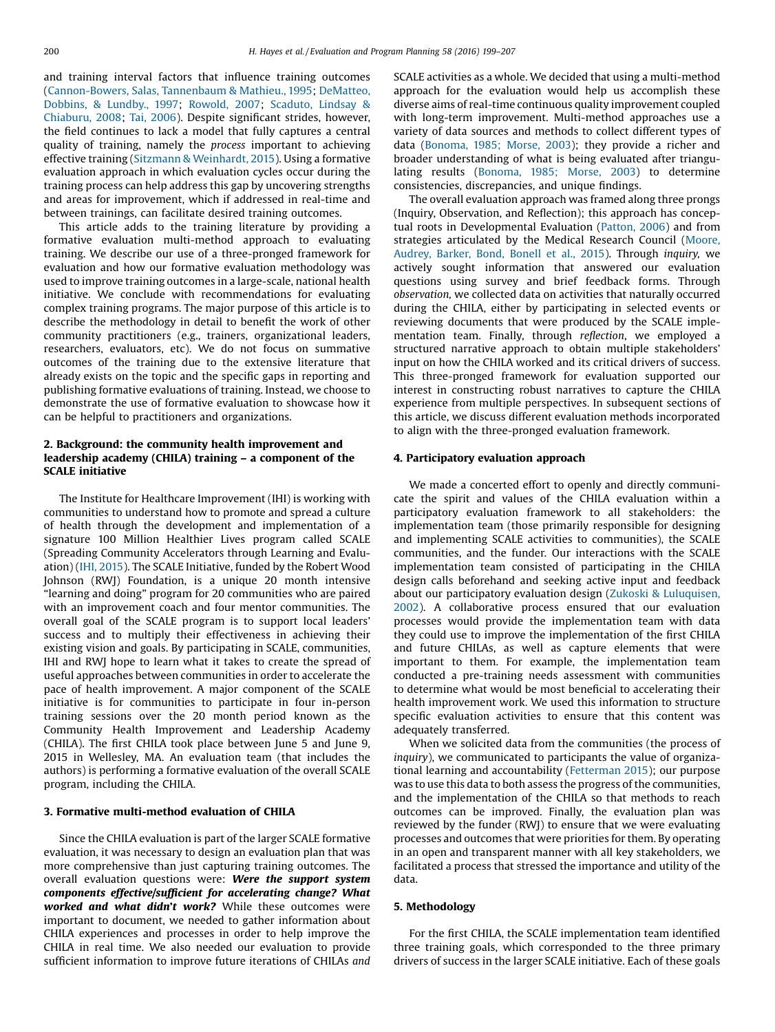and training interval factors that influence training outcomes ([Cannon-Bowers,](#page-7-0) Salas, Tannenbaum & Mathieu., 1995; [DeMatteo,](#page-7-0) [Dobbins,](#page-7-0) & Lundby., 1997; [Rowold,](#page-8-0) 2007; [Scaduto,](#page-8-0) Lindsay & [Chiaburu,](#page-8-0) 2008; Tai, [2006](#page-8-0)). Despite significant strides, however, the field continues to lack a model that fully captures a central quality of training, namely the process important to achieving effective training (Sitzmann & [Weinhardt,](#page-8-0) 2015). Using a formative evaluation approach in which evaluation cycles occur during the training process can help address this gap by uncovering strengths and areas for improvement, which if addressed in real-time and between trainings, can facilitate desired training outcomes.

This article adds to the training literature by providing a formative evaluation multi-method approach to evaluating training. We describe our use of a three-pronged framework for evaluation and how our formative evaluation methodology was used to improve training outcomes in a large-scale, national health initiative. We conclude with recommendations for evaluating complex training programs. The major purpose of this article is to describe the methodology in detail to benefit the work of other community practitioners (e.g., trainers, organizational leaders, researchers, evaluators, etc). We do not focus on summative outcomes of the training due to the extensive literature that already exists on the topic and the specific gaps in reporting and publishing formative evaluations of training. Instead, we choose to demonstrate the use of formative evaluation to showcase how it can be helpful to practitioners and organizations.

# 2. Background: the community health improvement and leadership academy (CHILA) training – a component of the SCALE initiative

The Institute for Healthcare Improvement (IHI) is working with communities to understand how to promote and spread a culture of health through the development and implementation of a signature 100 Million Healthier Lives program called SCALE (Spreading Community Accelerators through Learning and Evaluation) (IHI, [2015\)](#page-8-0). The SCALE Initiative, funded by the Robert Wood Johnson (RWJ) Foundation, is a unique 20 month intensive "learning and doing" program for 20 communities who are paired with an improvement coach and four mentor communities. The overall goal of the SCALE program is to support local leaders' success and to multiply their effectiveness in achieving their existing vision and goals. By participating in SCALE, communities, IHI and RWJ hope to learn what it takes to create the spread of useful approaches between communities in order to accelerate the pace of health improvement. A major component of the SCALE initiative is for communities to participate in four in-person training sessions over the 20 month period known as the Community Health Improvement and Leadership Academy (CHILA). The first CHILA took place between June 5 and June 9, 2015 in Wellesley, MA. An evaluation team (that includes the authors) is performing a formative evaluation of the overall SCALE program, including the CHILA.

# 3. Formative multi-method evaluation of CHILA

Since the CHILA evaluation is part of the larger SCALE formative evaluation, it was necessary to design an evaluation plan that was more comprehensive than just capturing training outcomes. The overall evaluation questions were: Were the support system components effective/sufficient for accelerating change? What worked and what didn't work? While these outcomes were important to document, we needed to gather information about CHILA experiences and processes in order to help improve the CHILA in real time. We also needed our evaluation to provide sufficient information to improve future iterations of CHILAs and

SCALE activities as a whole. We decided that using a multi-method approach for the evaluation would help us accomplish these diverse aims of real-time continuous quality improvement coupled with long-term improvement. Multi-method approaches use a variety of data sources and methods to collect different types of data ([Bonoma,](#page-7-0) 1985; Morse, 2003); they provide a richer and broader understanding of what is being evaluated after triangulating results ([Bonoma,](#page-7-0) 1985; Morse, 2003) to determine consistencies, discrepancies, and unique findings.

The overall evaluation approach was framed along three prongs (Inquiry, Observation, and Reflection); this approach has conceptual roots in Developmental Evaluation ([Patton,](#page-8-0) 2006) and from strategies articulated by the Medical Research Council [\(Moore,](#page-8-0) [Audrey,](#page-8-0) Barker, Bond, Bonell et al., 2015). Through inquiry, we actively sought information that answered our evaluation questions using survey and brief feedback forms. Through observation, we collected data on activities that naturally occurred during the CHILA, either by participating in selected events or reviewing documents that were produced by the SCALE implementation team. Finally, through reflection, we employed a structured narrative approach to obtain multiple stakeholders' input on how the CHILA worked and its critical drivers of success. This three-pronged framework for evaluation supported our interest in constructing robust narratives to capture the CHILA experience from multiple perspectives. In subsequent sections of this article, we discuss different evaluation methods incorporated to align with the three-pronged evaluation framework.

## 4. Participatory evaluation approach

We made a concerted effort to openly and directly communicate the spirit and values of the CHILA evaluation within a participatory evaluation framework to all stakeholders: the implementation team (those primarily responsible for designing and implementing SCALE activities to communities), the SCALE communities, and the funder. Our interactions with the SCALE implementation team consisted of participating in the CHILA design calls beforehand and seeking active input and feedback about our participatory evaluation design (Zukoski & [Luluquisen,](#page-8-0) [2002](#page-8-0)). A collaborative process ensured that our evaluation processes would provide the implementation team with data they could use to improve the implementation of the first CHILA and future CHILAs, as well as capture elements that were important to them. For example, the implementation team conducted a pre-training needs assessment with communities to determine what would be most beneficial to accelerating their health improvement work. We used this information to structure specific evaluation activities to ensure that this content was adequately transferred.

When we solicited data from the communities (the process of inquiry), we communicated to participants the value of organizational learning and accountability [\(Fetterman](#page-7-0) 2015); our purpose was to use this data to both assess the progress of the communities, and the implementation of the CHILA so that methods to reach outcomes can be improved. Finally, the evaluation plan was reviewed by the funder (RWJ) to ensure that we were evaluating processes and outcomes that were priorities for them. By operating in an open and transparent manner with all key stakeholders, we facilitated a process that stressed the importance and utility of the data.

# 5. Methodology

For the first CHILA, the SCALE implementation team identified three training goals, which corresponded to the three primary drivers of success in the larger SCALE initiative. Each of these goals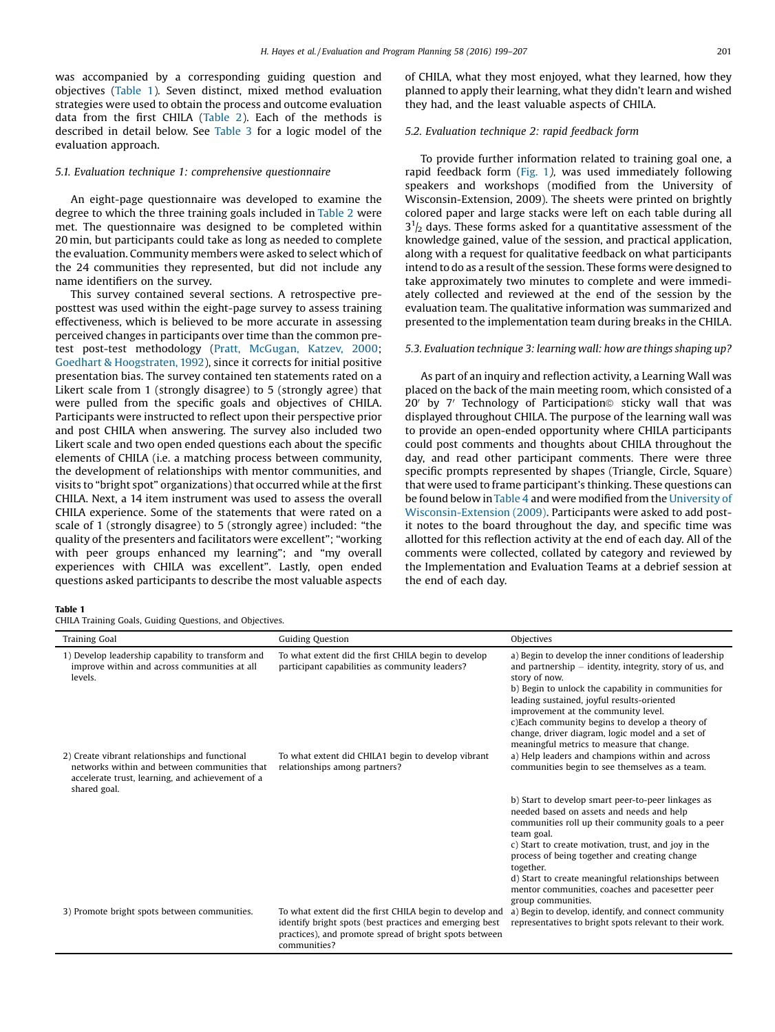<span id="page-2-0"></span>was accompanied by a corresponding guiding question and objectives (Table 1). Seven distinct, mixed method evaluation strategies were used to obtain the process and outcome evaluation data from the first CHILA [\(Table](#page-3-0) 2). Each of the methods is described in detail below. See [Table](#page-3-0) 3 for a logic model of the evaluation approach.

## 5.1. Evaluation technique 1: comprehensive questionnaire

An eight-page questionnaire was developed to examine the degree to which the three training goals included in [Table](#page-3-0) 2 were met. The questionnaire was designed to be completed within 20 min, but participants could take as long as needed to complete the evaluation. Community members were asked to select which of the 24 communities they represented, but did not include any name identifiers on the survey.

This survey contained several sections. A retrospective preposttest was used within the eight-page survey to assess training effectiveness, which is believed to be more accurate in assessing perceived changes in participants over time than the common pretest post-test methodology (Pratt, [McGugan,](#page-8-0) Katzev, 2000; Goedhart & [Hoogstraten,](#page-7-0) 1992), since it corrects for initial positive presentation bias. The survey contained ten statements rated on a Likert scale from 1 (strongly disagree) to 5 (strongly agree) that were pulled from the specific goals and objectives of CHILA. Participants were instructed to reflect upon their perspective prior and post CHILA when answering. The survey also included two Likert scale and two open ended questions each about the specific elements of CHILA (i.e. a matching process between community, the development of relationships with mentor communities, and visits to "bright spot" organizations) that occurred while at the first CHILA. Next, a 14 item instrument was used to assess the overall CHILA experience. Some of the statements that were rated on a scale of 1 (strongly disagree) to 5 (strongly agree) included: "the quality of the presenters and facilitators were excellent"; "working with peer groups enhanced my learning"; and "my overall experiences with CHILA was excellent". Lastly, open ended questions asked participants to describe the most valuable aspects

## Table 1

CHILA Training Goals, Guiding Questions, and Objectives.

of CHILA, what they most enjoyed, what they learned, how they planned to apply their learning, what they didn't learn and wished they had, and the least valuable aspects of CHILA.

# 5.2. Evaluation technique 2: rapid feedback form

To provide further information related to training goal one, a rapid feedback form [\(Fig.](#page-3-0) 1), was used immediately following speakers and workshops (modified from the University of Wisconsin-Extension, 2009). The sheets were printed on brightly colored paper and large stacks were left on each table during all  $3<sup>1</sup>/<sub>2</sub>$  days. These forms asked for a quantitative assessment of the knowledge gained, value of the session, and practical application, along with a request for qualitative feedback on what participants intend to do as a result of the session. These forms were designed to take approximately two minutes to complete and were immediately collected and reviewed at the end of the session by the evaluation team. The qualitative information was summarized and presented to the implementation team during breaks in the CHILA.

## 5.3. Evaluation technique 3: learning wall: how are things shaping up?

As part of an inquiry and reflection activity, a Learning Wall was placed on the back of the main meeting room, which consisted of a  $20'$  by 7' Technology of Participation $©$  sticky wall that was displayed throughout CHILA. The purpose of the learning wall was to provide an open-ended opportunity where CHILA participants could post comments and thoughts about CHILA throughout the day, and read other participant comments. There were three specific prompts represented by shapes (Triangle, Circle, Square) that were used to frame participant's thinking. These questions can be found below in [Table](#page-4-0) 4 and were modified from the [University](#page-8-0) of [Wisconsin-Extension](#page-8-0) (2009). Participants were asked to add postit notes to the board throughout the day, and specific time was allotted for this reflection activity at the end of each day. All of the comments were collected, collated by category and reviewed by the Implementation and Evaluation Teams at a debrief session at the end of each day.

| <b>Training Goal</b>                                                                                                                                               | <b>Guiding Question</b>                                                                                                                                                                      | Objectives                                                                                                                                                                                                                                                                                                                                                                                                                            |
|--------------------------------------------------------------------------------------------------------------------------------------------------------------------|----------------------------------------------------------------------------------------------------------------------------------------------------------------------------------------------|---------------------------------------------------------------------------------------------------------------------------------------------------------------------------------------------------------------------------------------------------------------------------------------------------------------------------------------------------------------------------------------------------------------------------------------|
| 1) Develop leadership capability to transform and<br>improve within and across communities at all<br>levels.                                                       | To what extent did the first CHILA begin to develop<br>participant capabilities as community leaders?                                                                                        | a) Begin to develop the inner conditions of leadership<br>and partnership $-$ identity, integrity, story of us, and<br>story of now.<br>b) Begin to unlock the capability in communities for<br>leading sustained, joyful results-oriented<br>improvement at the community level.<br>c)Each community begins to develop a theory of<br>change, driver diagram, logic model and a set of<br>meaningful metrics to measure that change. |
| 2) Create vibrant relationships and functional<br>networks within and between communities that<br>accelerate trust, learning, and achievement of a<br>shared goal. | To what extent did CHILA1 begin to develop vibrant<br>relationships among partners?                                                                                                          | a) Help leaders and champions within and across<br>communities begin to see themselves as a team.                                                                                                                                                                                                                                                                                                                                     |
|                                                                                                                                                                    |                                                                                                                                                                                              | b) Start to develop smart peer-to-peer linkages as<br>needed based on assets and needs and help<br>communities roll up their community goals to a peer<br>team goal.<br>c) Start to create motivation, trust, and joy in the<br>process of being together and creating change<br>together.<br>d) Start to create meaningful relationships between<br>mentor communities, coaches and pacesetter peer<br>group communities.            |
| 3) Promote bright spots between communities.                                                                                                                       | To what extent did the first CHILA begin to develop and<br>identify bright spots (best practices and emerging best<br>practices), and promote spread of bright spots between<br>communities? | a) Begin to develop, identify, and connect community<br>representatives to bright spots relevant to their work.                                                                                                                                                                                                                                                                                                                       |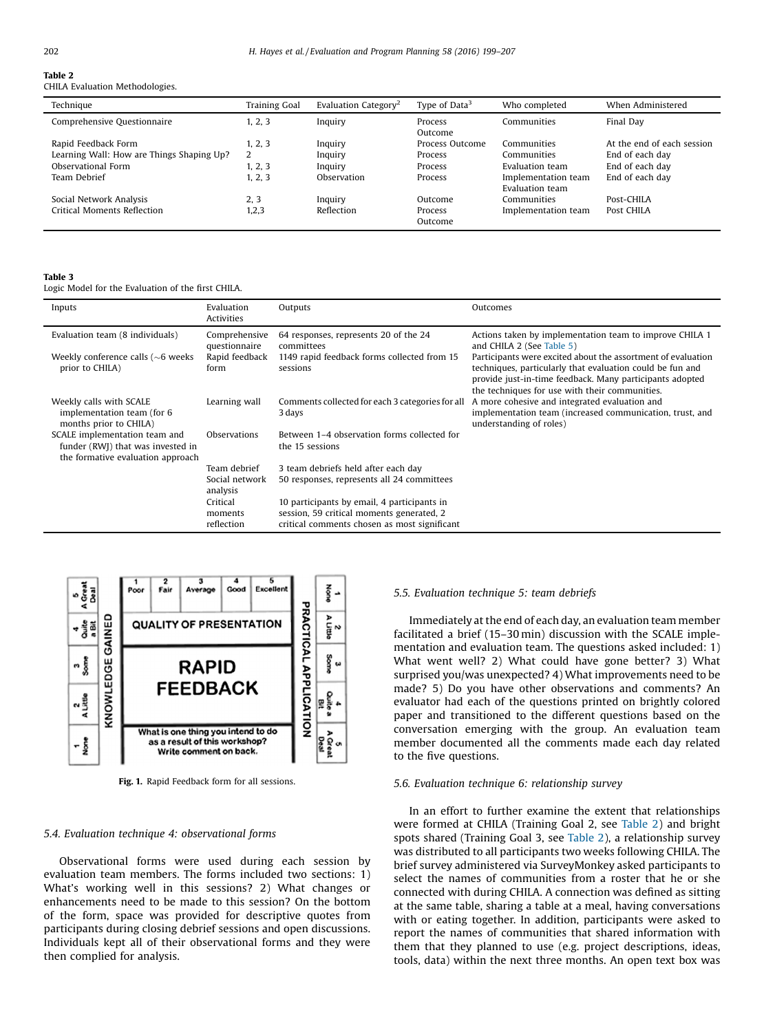#### <span id="page-3-0"></span>Table 2 CHILA Evaluation Methodologies.

|  |  | CHILA EVAIUALIOII IVIELIIOUOIOGIES. |  |  |
|--|--|-------------------------------------|--|--|
|  |  |                                     |  |  |

| Technique                                 | Training Goal | Evaluation Category <sup>2</sup> | Type of Data <sup>3</sup> | Who completed       | When Administered          |
|-------------------------------------------|---------------|----------------------------------|---------------------------|---------------------|----------------------------|
| Comprehensive Questionnaire               | 1, 2, 3       | Inquiry                          | Process                   | Communities         | Final Day                  |
|                                           |               |                                  | Outcome                   |                     |                            |
| Rapid Feedback Form                       | 1, 2, 3       | Inquiry                          | Process Outcome           | Communities         | At the end of each session |
| Learning Wall: How are Things Shaping Up? | 2             | Inquiry                          | Process                   | Communities         | End of each day            |
| Observational Form                        | 1, 2, 3       | Inquiry                          | <b>Process</b>            | Evaluation team     | End of each day            |
| <b>Team Debrief</b>                       | 1, 2, 3       | Observation                      | Process                   | Implementation team | End of each day            |
|                                           |               |                                  |                           | Evaluation team     |                            |
| Social Network Analysis                   | 2.3           | Inquiry                          | Outcome                   | Communities         | Post-CHILA                 |
| Critical Moments Reflection               | 1,2,3         | Reflection                       | <b>Process</b>            | Implementation team | Post CHILA                 |
|                                           |               |                                  | Outcome                   |                     |                            |

#### Table 3

Logic Model for the Evaluation of the first CHILA.

| Evaluation<br>Activities       | Outputs                                                                                   | Outcomes                                                                                                                                                                                                                                |
|--------------------------------|-------------------------------------------------------------------------------------------|-----------------------------------------------------------------------------------------------------------------------------------------------------------------------------------------------------------------------------------------|
| Comprehensive<br>questionnaire | 64 responses, represents 20 of the 24<br>committees                                       | Actions taken by implementation team to improve CHILA 1<br>and CHILA 2 (See Table 5)                                                                                                                                                    |
| Rapid feedback<br>form         | 1149 rapid feedback forms collected from 15<br>sessions                                   | Participants were excited about the assortment of evaluation<br>techniques, particularly that evaluation could be fun and<br>provide just-in-time feedback. Many participants adopted<br>the techniques for use with their communities. |
| Learning wall                  | Comments collected for each 3 categories for all<br>3 days                                | A more cohesive and integrated evaluation and<br>implementation team (increased communication, trust, and<br>understanding of roles)                                                                                                    |
| Observations                   | Between 1-4 observation forms collected for<br>the 15 sessions                            |                                                                                                                                                                                                                                         |
| Team debrief                   | 3 team debriefs held after each day                                                       |                                                                                                                                                                                                                                         |
| Social network<br>analysis     | 50 responses, represents all 24 committees                                                |                                                                                                                                                                                                                                         |
| Critical                       | 10 participants by email, 4 participants in                                               |                                                                                                                                                                                                                                         |
| moments<br>reflection          | session, 59 critical moments generated, 2<br>critical comments chosen as most significant |                                                                                                                                                                                                                                         |
|                                |                                                                                           |                                                                                                                                                                                                                                         |



Fig. 1. Rapid Feedback form for all sessions.

## 5.4. Evaluation technique 4: observational forms

Observational forms were used during each session by evaluation team members. The forms included two sections: 1) What's working well in this sessions? 2) What changes or enhancements need to be made to this session? On the bottom of the form, space was provided for descriptive quotes from participants during closing debrief sessions and open discussions. Individuals kept all of their observational forms and they were then complied for analysis.

## 5.5. Evaluation technique 5: team debriefs

Immediately at the end of each day, an evaluation team member facilitated a brief (15–30 min) discussion with the SCALE implementation and evaluation team. The questions asked included: 1) What went well? 2) What could have gone better? 3) What surprised you/was unexpected? 4) What improvements need to be made? 5) Do you have other observations and comments? An evaluator had each of the questions printed on brightly colored paper and transitioned to the different questions based on the conversation emerging with the group. An evaluation team member documented all the comments made each day related to the five questions.

## 5.6. Evaluation technique 6: relationship survey

In an effort to further examine the extent that relationships were formed at CHILA (Training Goal 2, see Table 2) and bright spots shared (Training Goal 3, see Table 2), a relationship survey was distributed to all participants two weeks following CHILA. The brief survey administered via SurveyMonkey asked participants to select the names of communities from a roster that he or she connected with during CHILA. A connection was defined as sitting at the same table, sharing a table at a meal, having conversations with or eating together. In addition, participants were asked to report the names of communities that shared information with them that they planned to use (e.g. project descriptions, ideas, tools, data) within the next three months. An open text box was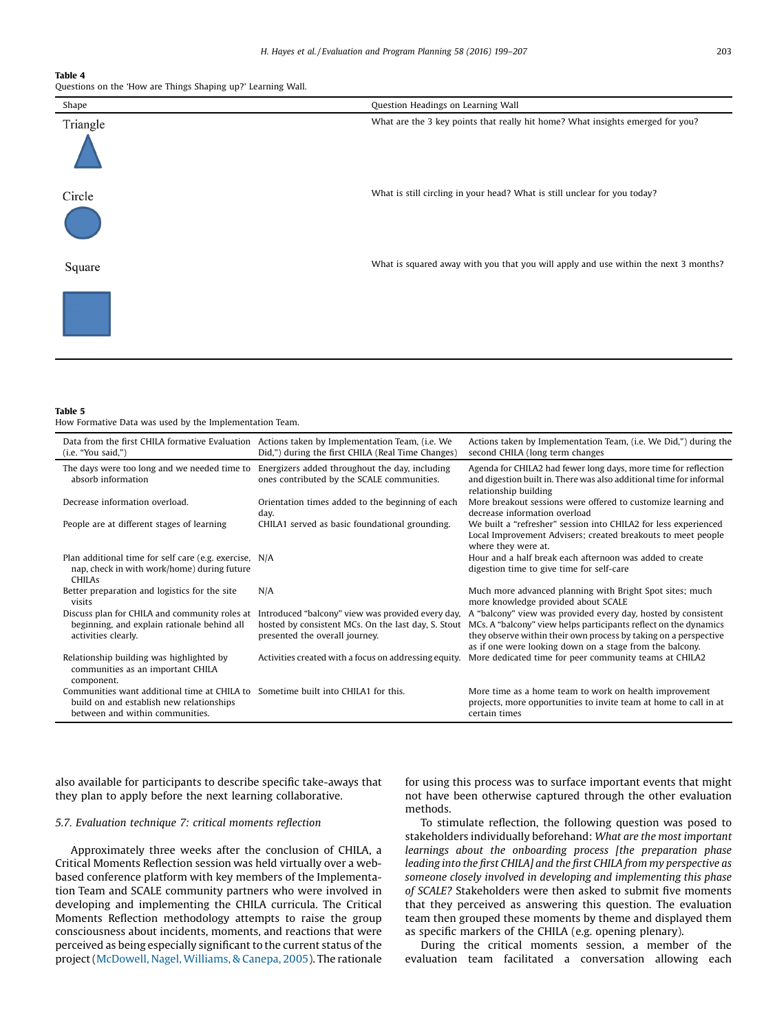#### <span id="page-4-0"></span>Table 4

Questions on the 'How are Things Shaping up?' Learning Wall.



## Table 5

How Formative Data was used by the Implementation Team.

| (i.e. "You said,")                                                                                                                                               | Data from the first CHILA formative Evaluation Actions taken by Implementation Team, (i.e. We<br>Did,") during the first CHILA (Real Time Changes)                                       | Actions taken by Implementation Team, (i.e. We Did,") during the<br>second CHILA (long term changes                                                                                                                                                               |
|------------------------------------------------------------------------------------------------------------------------------------------------------------------|------------------------------------------------------------------------------------------------------------------------------------------------------------------------------------------|-------------------------------------------------------------------------------------------------------------------------------------------------------------------------------------------------------------------------------------------------------------------|
| The days were too long and we needed time to<br>absorb information                                                                                               | Energizers added throughout the day, including<br>ones contributed by the SCALE communities.                                                                                             | Agenda for CHILA2 had fewer long days, more time for reflection<br>and digestion built in. There was also additional time for informal<br>relationship building                                                                                                   |
| Decrease information overload.                                                                                                                                   | Orientation times added to the beginning of each<br>day.                                                                                                                                 | More breakout sessions were offered to customize learning and<br>decrease information overload                                                                                                                                                                    |
| People are at different stages of learning                                                                                                                       | CHILA1 served as basic foundational grounding.                                                                                                                                           | We built a "refresher" session into CHILA2 for less experienced<br>Local Improvement Advisers; created breakouts to meet people<br>where they were at.                                                                                                            |
| Plan additional time for self care (e.g. exercise, N/A<br>nap, check in with work/home) during future<br><b>CHILAs</b>                                           |                                                                                                                                                                                          | Hour and a half break each afternoon was added to create<br>digestion time to give time for self-care                                                                                                                                                             |
| Better preparation and logistics for the site<br>visits                                                                                                          | N/A                                                                                                                                                                                      | Much more advanced planning with Bright Spot sites; much<br>more knowledge provided about SCALE                                                                                                                                                                   |
| beginning, and explain rationale behind all<br>activities clearly.                                                                                               | Discuss plan for CHILA and community roles at Introduced "balcony" view was provided every day,<br>hosted by consistent MCs. On the last day, S. Stout<br>presented the overall journey. | A "balcony" view was provided every day, hosted by consistent<br>MCs. A "balcony" view helps participants reflect on the dynamics<br>they observe within their own process by taking on a perspective<br>as if one were looking down on a stage from the balcony. |
| Relationship building was highlighted by<br>communities as an important CHILA<br>component.                                                                      | Activities created with a focus on addressing equity.                                                                                                                                    | More dedicated time for peer community teams at CHILA2                                                                                                                                                                                                            |
| Communities want additional time at CHILA to Sometime built into CHILA1 for this.<br>build on and establish new relationships<br>between and within communities. |                                                                                                                                                                                          | More time as a home team to work on health improvement<br>projects, more opportunities to invite team at home to call in at<br>certain times                                                                                                                      |

also available for participants to describe specific take-aways that they plan to apply before the next learning collaborative.

## 5.7. Evaluation technique 7: critical moments reflection

Approximately three weeks after the conclusion of CHILA, a Critical Moments Reflection session was held virtually over a webbased conference platform with key members of the Implementation Team and SCALE community partners who were involved in developing and implementing the CHILA curricula. The Critical Moments Reflection methodology attempts to raise the group consciousness about incidents, moments, and reactions that were perceived as being especially significant to the current status of the project [\(McDowell,](#page-8-0) Nagel, Williams, & Canepa, 2005). The rationale for using this process was to surface important events that might not have been otherwise captured through the other evaluation methods.

To stimulate reflection, the following question was posed to stakeholders individually beforehand: What are the most important learnings about the onboarding process [the preparation phase leading into the first CHILA] and the first CHILA from my perspective as someone closely involved in developing and implementing this phase of SCALE? Stakeholders were then asked to submit five moments that they perceived as answering this question. The evaluation team then grouped these moments by theme and displayed them as specific markers of the CHILA (e.g. opening plenary).

During the critical moments session, a member of the evaluation team facilitated a conversation allowing each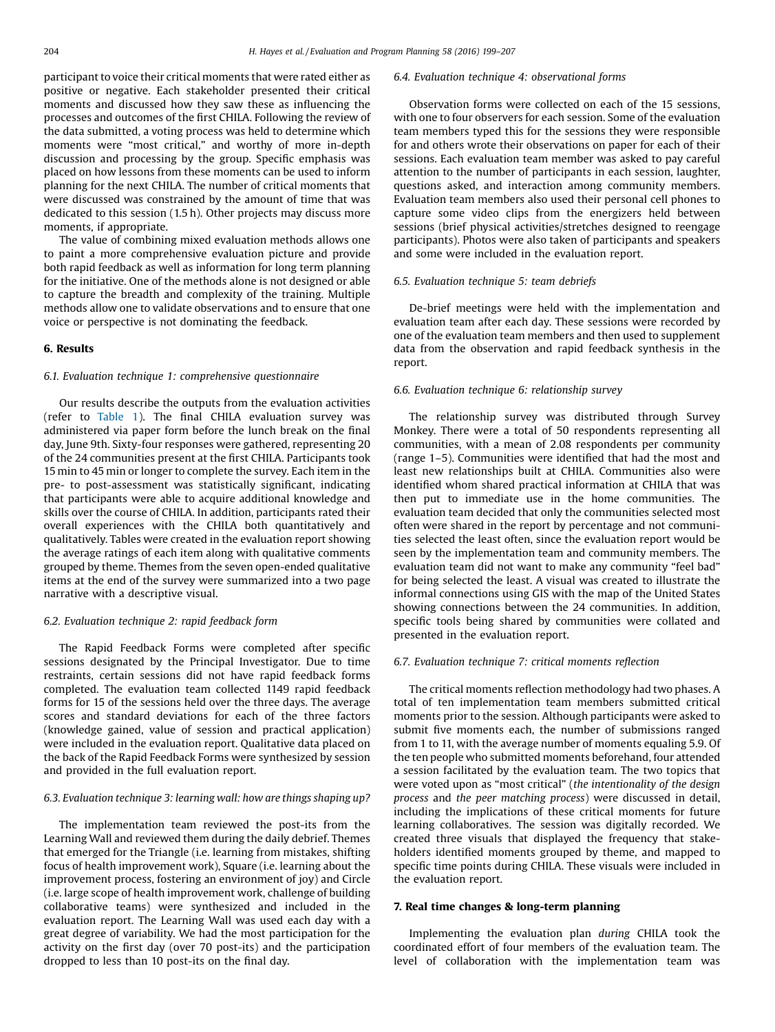participant to voice their critical moments that were rated either as positive or negative. Each stakeholder presented their critical moments and discussed how they saw these as influencing the processes and outcomes of the first CHILA. Following the review of the data submitted, a voting process was held to determine which moments were "most critical," and worthy of more in-depth discussion and processing by the group. Specific emphasis was placed on how lessons from these moments can be used to inform planning for the next CHILA. The number of critical moments that were discussed was constrained by the amount of time that was dedicated to this session (1.5 h). Other projects may discuss more moments, if appropriate.

The value of combining mixed evaluation methods allows one to paint a more comprehensive evaluation picture and provide both rapid feedback as well as information for long term planning for the initiative. One of the methods alone is not designed or able to capture the breadth and complexity of the training. Multiple methods allow one to validate observations and to ensure that one voice or perspective is not dominating the feedback.

# 6. Results

# 6.1. Evaluation technique 1: comprehensive questionnaire

Our results describe the outputs from the evaluation activities (refer to [Table](#page-2-0) 1). The final CHILA evaluation survey was administered via paper form before the lunch break on the final day, June 9th. Sixty-four responses were gathered, representing 20 of the 24 communities present at the first CHILA. Participants took 15 min to 45 min or longer to complete the survey. Each item in the pre- to post-assessment was statistically significant, indicating that participants were able to acquire additional knowledge and skills over the course of CHILA. In addition, participants rated their overall experiences with the CHILA both quantitatively and qualitatively. Tables were created in the evaluation report showing the average ratings of each item along with qualitative comments grouped by theme. Themes from the seven open-ended qualitative items at the end of the survey were summarized into a two page narrative with a descriptive visual.

# 6.2. Evaluation technique 2: rapid feedback form

The Rapid Feedback Forms were completed after specific sessions designated by the Principal Investigator. Due to time restraints, certain sessions did not have rapid feedback forms completed. The evaluation team collected 1149 rapid feedback forms for 15 of the sessions held over the three days. The average scores and standard deviations for each of the three factors (knowledge gained, value of session and practical application) were included in the evaluation report. Qualitative data placed on the back of the Rapid Feedback Forms were synthesized by session and provided in the full evaluation report.

## 6.3. Evaluation technique 3: learning wall: how are things shaping up?

The implementation team reviewed the post-its from the Learning Wall and reviewed them during the daily debrief. Themes that emerged for the Triangle (i.e. learning from mistakes, shifting focus of health improvement work), Square (i.e. learning about the improvement process, fostering an environment of joy) and Circle (i.e. large scope of health improvement work, challenge of building collaborative teams) were synthesized and included in the evaluation report. The Learning Wall was used each day with a great degree of variability. We had the most participation for the activity on the first day (over 70 post-its) and the participation dropped to less than 10 post-its on the final day.

#### 6.4. Evaluation technique 4: observational forms

Observation forms were collected on each of the 15 sessions, with one to four observers for each session. Some of the evaluation team members typed this for the sessions they were responsible for and others wrote their observations on paper for each of their sessions. Each evaluation team member was asked to pay careful attention to the number of participants in each session, laughter, questions asked, and interaction among community members. Evaluation team members also used their personal cell phones to capture some video clips from the energizers held between sessions (brief physical activities/stretches designed to reengage participants). Photos were also taken of participants and speakers and some were included in the evaluation report.

#### 6.5. Evaluation technique 5: team debriefs

De-brief meetings were held with the implementation and evaluation team after each day. These sessions were recorded by one of the evaluation team members and then used to supplement data from the observation and rapid feedback synthesis in the report.

## 6.6. Evaluation technique 6: relationship survey

The relationship survey was distributed through Survey Monkey. There were a total of 50 respondents representing all communities, with a mean of 2.08 respondents per community (range 1–5). Communities were identified that had the most and least new relationships built at CHILA. Communities also were identified whom shared practical information at CHILA that was then put to immediate use in the home communities. The evaluation team decided that only the communities selected most often were shared in the report by percentage and not communities selected the least often, since the evaluation report would be seen by the implementation team and community members. The evaluation team did not want to make any community "feel bad" for being selected the least. A visual was created to illustrate the informal connections using GIS with the map of the United States showing connections between the 24 communities. In addition, specific tools being shared by communities were collated and presented in the evaluation report.

#### 6.7. Evaluation technique 7: critical moments reflection

The critical moments reflection methodology had two phases. A total of ten implementation team members submitted critical moments prior to the session. Although participants were asked to submit five moments each, the number of submissions ranged from 1 to 11, with the average number of moments equaling 5.9. Of the ten people who submitted moments beforehand, four attended a session facilitated by the evaluation team. The two topics that were voted upon as "most critical" (the intentionality of the design process and the peer matching process) were discussed in detail, including the implications of these critical moments for future learning collaboratives. The session was digitally recorded. We created three visuals that displayed the frequency that stakeholders identified moments grouped by theme, and mapped to specific time points during CHILA. These visuals were included in the evaluation report.

## 7. Real time changes & long-term planning

Implementing the evaluation plan during CHILA took the coordinated effort of four members of the evaluation team. The level of collaboration with the implementation team was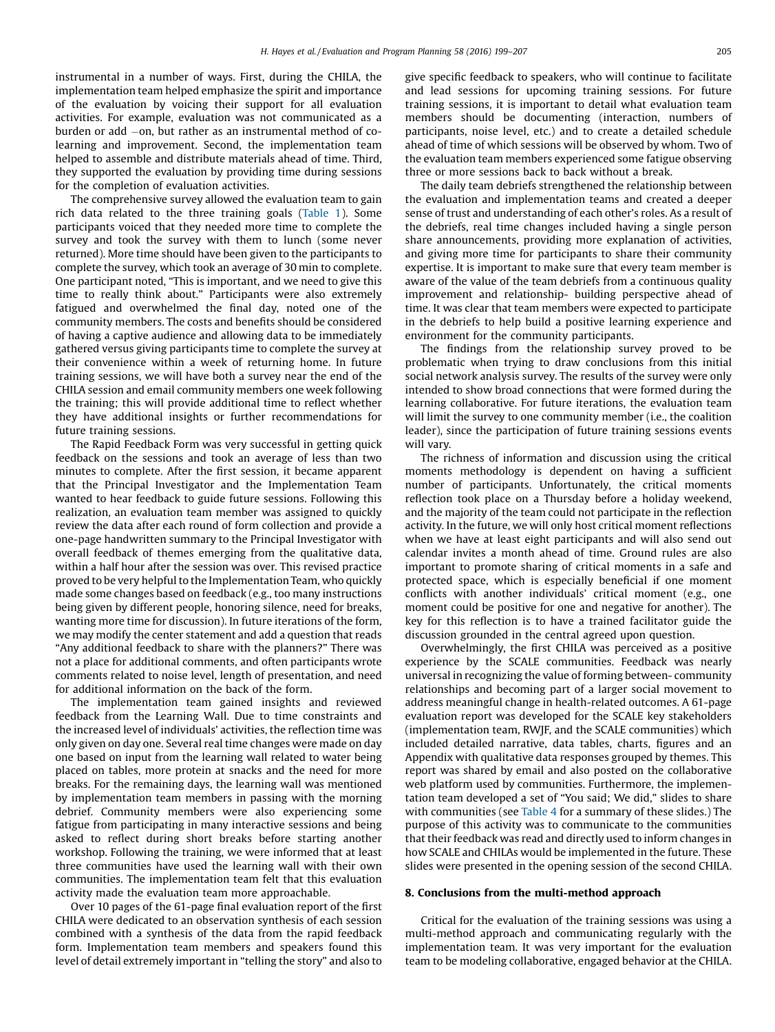instrumental in a number of ways. First, during the CHILA, the implementation team helped emphasize the spirit and importance of the evaluation by voicing their support for all evaluation activities. For example, evaluation was not communicated as a burden or add -on, but rather as an instrumental method of colearning and improvement. Second, the implementation team helped to assemble and distribute materials ahead of time. Third, they supported the evaluation by providing time during sessions for the completion of evaluation activities.

The comprehensive survey allowed the evaluation team to gain rich data related to the three training goals ([Table](#page-2-0) 1). Some participants voiced that they needed more time to complete the survey and took the survey with them to lunch (some never returned). More time should have been given to the participants to complete the survey, which took an average of 30 min to complete. One participant noted, "This is important, and we need to give this time to really think about." Participants were also extremely fatigued and overwhelmed the final day, noted one of the community members. The costs and benefits should be considered of having a captive audience and allowing data to be immediately gathered versus giving participants time to complete the survey at their convenience within a week of returning home. In future training sessions, we will have both a survey near the end of the CHILA session and email community members one week following the training; this will provide additional time to reflect whether they have additional insights or further recommendations for future training sessions.

The Rapid Feedback Form was very successful in getting quick feedback on the sessions and took an average of less than two minutes to complete. After the first session, it became apparent that the Principal Investigator and the Implementation Team wanted to hear feedback to guide future sessions. Following this realization, an evaluation team member was assigned to quickly review the data after each round of form collection and provide a one-page handwritten summary to the Principal Investigator with overall feedback of themes emerging from the qualitative data, within a half hour after the session was over. This revised practice proved to be very helpful to the Implementation Team, who quickly made some changes based on feedback (e.g., too many instructions being given by different people, honoring silence, need for breaks, wanting more time for discussion). In future iterations of the form, we may modify the center statement and add a question that reads "Any additional feedback to share with the planners?" There was not a place for additional comments, and often participants wrote comments related to noise level, length of presentation, and need for additional information on the back of the form.

The implementation team gained insights and reviewed feedback from the Learning Wall. Due to time constraints and the increased level of individuals' activities, the reflection time was only given on day one. Several real time changes were made on day one based on input from the learning wall related to water being placed on tables, more protein at snacks and the need for more breaks. For the remaining days, the learning wall was mentioned by implementation team members in passing with the morning debrief. Community members were also experiencing some fatigue from participating in many interactive sessions and being asked to reflect during short breaks before starting another workshop. Following the training, we were informed that at least three communities have used the learning wall with their own communities. The implementation team felt that this evaluation activity made the evaluation team more approachable.

Over 10 pages of the 61-page final evaluation report of the first CHILA were dedicated to an observation synthesis of each session combined with a synthesis of the data from the rapid feedback form. Implementation team members and speakers found this level of detail extremely important in "telling the story" and also to give specific feedback to speakers, who will continue to facilitate and lead sessions for upcoming training sessions. For future training sessions, it is important to detail what evaluation team members should be documenting (interaction, numbers of participants, noise level, etc.) and to create a detailed schedule ahead of time of which sessions will be observed by whom. Two of the evaluation team members experienced some fatigue observing three or more sessions back to back without a break.

The daily team debriefs strengthened the relationship between the evaluation and implementation teams and created a deeper sense of trust and understanding of each other's roles. As a result of the debriefs, real time changes included having a single person share announcements, providing more explanation of activities, and giving more time for participants to share their community expertise. It is important to make sure that every team member is aware of the value of the team debriefs from a continuous quality improvement and relationship- building perspective ahead of time. It was clear that team members were expected to participate in the debriefs to help build a positive learning experience and environment for the community participants.

The findings from the relationship survey proved to be problematic when trying to draw conclusions from this initial social network analysis survey. The results of the survey were only intended to show broad connections that were formed during the learning collaborative. For future iterations, the evaluation team will limit the survey to one community member (i.e., the coalition leader), since the participation of future training sessions events will vary.

The richness of information and discussion using the critical moments methodology is dependent on having a sufficient number of participants. Unfortunately, the critical moments reflection took place on a Thursday before a holiday weekend, and the majority of the team could not participate in the reflection activity. In the future, we will only host critical moment reflections when we have at least eight participants and will also send out calendar invites a month ahead of time. Ground rules are also important to promote sharing of critical moments in a safe and protected space, which is especially beneficial if one moment conflicts with another individuals' critical moment (e.g., one moment could be positive for one and negative for another). The key for this reflection is to have a trained facilitator guide the discussion grounded in the central agreed upon question.

Overwhelmingly, the first CHILA was perceived as a positive experience by the SCALE communities. Feedback was nearly universal in recognizing the value of forming between- community relationships and becoming part of a larger social movement to address meaningful change in health-related outcomes. A 61-page evaluation report was developed for the SCALE key stakeholders (implementation team, RWJF, and the SCALE communities) which included detailed narrative, data tables, charts, figures and an Appendix with qualitative data responses grouped by themes. This report was shared by email and also posted on the collaborative web platform used by communities. Furthermore, the implementation team developed a set of "You said; We did," slides to share with communities (see [Table](#page-4-0) 4 for a summary of these slides.) The purpose of this activity was to communicate to the communities that their feedback was read and directly used to inform changes in how SCALE and CHILAs would be implemented in the future. These slides were presented in the opening session of the second CHILA.

## 8. Conclusions from the multi-method approach

Critical for the evaluation of the training sessions was using a multi-method approach and communicating regularly with the implementation team. It was very important for the evaluation team to be modeling collaborative, engaged behavior at the CHILA.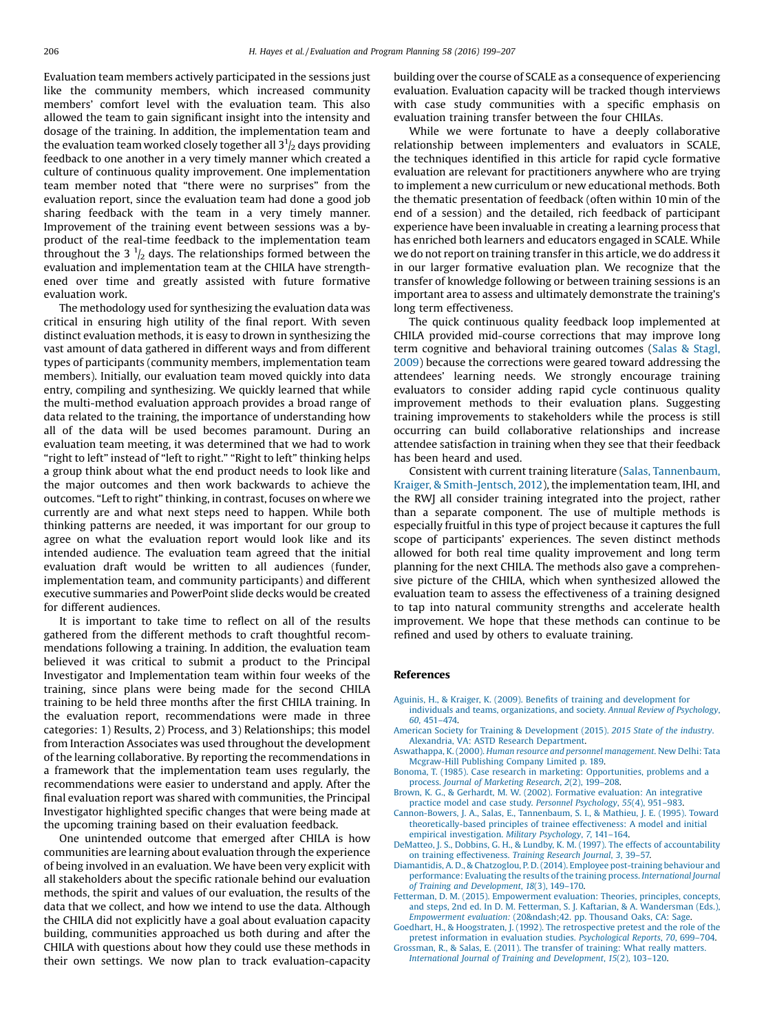<span id="page-7-0"></span>Evaluation team members actively participated in the sessions just like the community members, which increased community members' comfort level with the evaluation team. This also allowed the team to gain significant insight into the intensity and dosage of the training. In addition, the implementation team and the evaluation team worked closely together all  $3^1\!/_2$  days providing feedback to one another in a very timely manner which created a culture of continuous quality improvement. One implementation team member noted that "there were no surprises" from the evaluation report, since the evaluation team had done a good job sharing feedback with the team in a very timely manner. Improvement of the training event between sessions was a byproduct of the real-time feedback to the implementation team throughout the 3  $\frac{1}{2}$  days. The relationships formed between the evaluation and implementation team at the CHILA have strengthened over time and greatly assisted with future formative evaluation work.

The methodology used for synthesizing the evaluation data was critical in ensuring high utility of the final report. With seven distinct evaluation methods, it is easy to drown in synthesizing the vast amount of data gathered in different ways and from different types of participants (community members, implementation team members). Initially, our evaluation team moved quickly into data entry, compiling and synthesizing. We quickly learned that while the multi-method evaluation approach provides a broad range of data related to the training, the importance of understanding how all of the data will be used becomes paramount. During an evaluation team meeting, it was determined that we had to work "right to left" instead of "left to right." "Right to left" thinking helps a group think about what the end product needs to look like and the major outcomes and then work backwards to achieve the outcomes. "Left to right" thinking, in contrast, focuses on where we currently are and what next steps need to happen. While both thinking patterns are needed, it was important for our group to agree on what the evaluation report would look like and its intended audience. The evaluation team agreed that the initial evaluation draft would be written to all audiences (funder, implementation team, and community participants) and different executive summaries and PowerPoint slide decks would be created for different audiences.

It is important to take time to reflect on all of the results gathered from the different methods to craft thoughtful recommendations following a training. In addition, the evaluation team believed it was critical to submit a product to the Principal Investigator and Implementation team within four weeks of the training, since plans were being made for the second CHILA training to be held three months after the first CHILA training. In the evaluation report, recommendations were made in three categories: 1) Results, 2) Process, and 3) Relationships; this model from Interaction Associates was used throughout the development of the learning collaborative. By reporting the recommendations in a framework that the implementation team uses regularly, the recommendations were easier to understand and apply. After the final evaluation report was shared with communities, the Principal Investigator highlighted specific changes that were being made at the upcoming training based on their evaluation feedback.

One unintended outcome that emerged after CHILA is how communities are learning about evaluation through the experience of being involved in an evaluation. We have been very explicit with all stakeholders about the specific rationale behind our evaluation methods, the spirit and values of our evaluation, the results of the data that we collect, and how we intend to use the data. Although the CHILA did not explicitly have a goal about evaluation capacity building, communities approached us both during and after the CHILA with questions about how they could use these methods in their own settings. We now plan to track evaluation-capacity building over the course of SCALE as a consequence of experiencing evaluation. Evaluation capacity will be tracked though interviews with case study communities with a specific emphasis on evaluation training transfer between the four CHILAs.

While we were fortunate to have a deeply collaborative relationship between implementers and evaluators in SCALE, the techniques identified in this article for rapid cycle formative evaluation are relevant for practitioners anywhere who are trying to implement a new curriculum or new educational methods. Both the thematic presentation of feedback (often within 10 min of the end of a session) and the detailed, rich feedback of participant experience have been invaluable in creating a learning process that has enriched both learners and educators engaged in SCALE. While we do not report on training transfer in this article, we do address it in our larger formative evaluation plan. We recognize that the transfer of knowledge following or between training sessions is an important area to assess and ultimately demonstrate the training's long term effectiveness.

The quick continuous quality feedback loop implemented at CHILA provided mid-course corrections that may improve long term cognitive and behavioral training outcomes (Salas & [Stagl,](#page-8-0) [2009](#page-8-0)) because the corrections were geared toward addressing the attendees' learning needs. We strongly encourage training evaluators to consider adding rapid cycle continuous quality improvement methods to their evaluation plans. Suggesting training improvements to stakeholders while the process is still occurring can build collaborative relationships and increase attendee satisfaction in training when they see that their feedback has been heard and used.

Consistent with current training literature (Salas, [Tannenbaum,](#page-8-0) Kraiger, & [Smith-Jentsch,](#page-8-0) 2012), the implementation team, IHI, and the RWJ all consider training integrated into the project, rather than a separate component. The use of multiple methods is especially fruitful in this type of project because it captures the full scope of participants' experiences. The seven distinct methods allowed for both real time quality improvement and long term planning for the next CHILA. The methods also gave a comprehensive picture of the CHILA, which when synthesized allowed the evaluation team to assess the effectiveness of a training designed to tap into natural community strengths and accelerate health improvement. We hope that these methods can continue to be refined and used by others to evaluate training.

## References

- Aguinis, H., & Kraiger, K. (2009). Benefits of training and [development](http://refhub.elsevier.com/S0149-7189(15)30078-1/sbref0005) for individuals and teams, [organizations,](http://refhub.elsevier.com/S0149-7189(15)30078-1/sbref0005) and society. Annual Review of Psychology, 60, [451](http://refhub.elsevier.com/S0149-7189(15)30078-1/sbref0005)–474.
- American Society for Training & [Development](http://refhub.elsevier.com/S0149-7189(15)30078-1/sbref0010) (2015). 2015 State of the industry. Alexandria, VA: ASTD Research [Department](http://refhub.elsevier.com/S0149-7189(15)30078-1/sbref0010).
- [Aswathappa,](http://refhub.elsevier.com/S0149-7189(15)30078-1/sbref0015) K. (2000). Human resource and personnel management. New Delhi: Tata [Mcgraw-Hill](http://refhub.elsevier.com/S0149-7189(15)30078-1/sbref0015) Publishing Company Limited p. 189.
- Bonoma, T. (1985). Case research in marketing: [Opportunities,](http://refhub.elsevier.com/S0149-7189(15)30078-1/sbref0020) problems and a process. Journal of [Marketing](http://refhub.elsevier.com/S0149-7189(15)30078-1/sbref0020) Research, 2(2), 199–208.
- Brown, K. G., & Gerhardt, M. W. (2002). Formative [evaluation:](http://refhub.elsevier.com/S0149-7189(15)30078-1/sbref0025) An integrative practice model and case study. Personnel [Psychology](http://refhub.elsevier.com/S0149-7189(15)30078-1/sbref0025), 55(4), 951–983.
- [Cannon-Bowers,](http://refhub.elsevier.com/S0149-7189(15)30078-1/sbref0030) J. A., Salas, E., Tannenbaum, S. I., & Mathieu, J. E. (1995). Toward [theoretically-based](http://refhub.elsevier.com/S0149-7189(15)30078-1/sbref0030) principles of trainee effectiveness: A model and initial empirical [investigation.](http://refhub.elsevier.com/S0149-7189(15)30078-1/sbref0030) Military Psychology, 7, 141–164.
- DeMatteo, J. S., Dobbins, G. H., & Lundby, K. M. (1997). The effects of [accountability](http://refhub.elsevier.com/S0149-7189(15)30078-1/sbref0035) on training [effectiveness.](http://refhub.elsevier.com/S0149-7189(15)30078-1/sbref0035) Training Research Journal, 3, 39–57.
- Diamantidis, A. D., & Chatzoglou, P. D. (2014). Employee [post-training](http://refhub.elsevier.com/S0149-7189(15)30078-1/sbref0040) behaviour and [performance:](http://refhub.elsevier.com/S0149-7189(15)30078-1/sbref0040) Evaluating the results of the training process. International Journal of Training and [Development](http://refhub.elsevier.com/S0149-7189(15)30078-1/sbref0040), 18(3), 149–170.
- Fetterman, D. M. (2015). [Empowerment](http://refhub.elsevier.com/S0149-7189(15)30078-1/sbref0045) evaluation: Theories, principles, concepts, and steps, 2nd ed. In D. M. Fetterman, S. J. Kaftarian, & A. [Wandersman](http://refhub.elsevier.com/S0149-7189(15)30078-1/sbref0045) (Eds.), Empowerment evaluation: [\(20–42.](http://refhub.elsevier.com/S0149-7189(15)30078-1/sbref0045) pp. Thousand Oaks, CA: Sage.
- Goedhart, H., & Hoogstraten, J. (1992). The [retrospective](http://refhub.elsevier.com/S0149-7189(15)30078-1/sbref0050) pretest and the role of the pretest information in evaluation studies. [Psychological](http://refhub.elsevier.com/S0149-7189(15)30078-1/sbref0050) Reports, 70, 699–704.
- [Grossman,](http://refhub.elsevier.com/S0149-7189(15)30078-1/sbref0055) R., & Salas, E. (2011). The transfer of training: What really matters. International Journal of Training and [Development](http://refhub.elsevier.com/S0149-7189(15)30078-1/sbref0055), 15(2), 103–120.